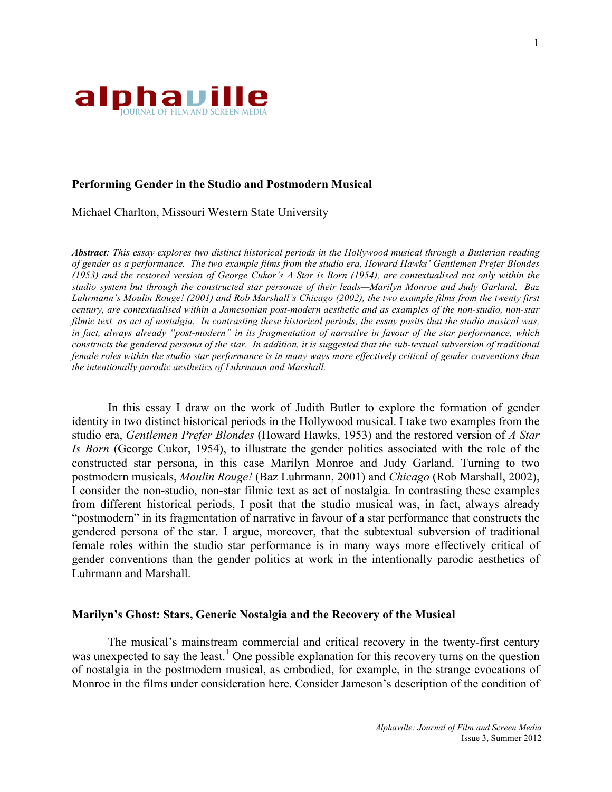

# **Performing Gender in the Studio and Postmodern Musical**

Michael Charlton, Missouri Western State University

*Abstract: This essay explores two distinct historical periods in the Hollywood musical through a Butlerian reading of gender as a performance. The two example films from the studio era, Howard Hawks' Gentlemen Prefer Blondes (1953) and the restored version of George Cukor's A Star is Born (1954), are contextualised not only within the studio system but through the constructed star personae of their leads—Marilyn Monroe and Judy Garland. Baz Luhrmann's Moulin Rouge! (2001) and Rob Marshall's Chicago (2002), the two example films from the twenty first century, are contextualised within a Jamesonian post-modern aesthetic and as examples of the non-studio, non-star filmic text as act of nostalgia. In contrasting these historical periods, the essay posits that the studio musical was, in fact, always already "post-modern" in its fragmentation of narrative in favour of the star performance, which constructs the gendered persona of the star. In addition, it is suggested that the sub-textual subversion of traditional female roles within the studio star performance is in many ways more effectively critical of gender conventions than the intentionally parodic aesthetics of Luhrmann and Marshall.*

In this essay I draw on the work of Judith Butler to explore the formation of gender identity in two distinct historical periods in the Hollywood musical. I take two examples from the studio era, *Gentlemen Prefer Blondes* (Howard Hawks, 1953) and the restored version of *A Star Is Born* (George Cukor, 1954), to illustrate the gender politics associated with the role of the constructed star persona, in this case Marilyn Monroe and Judy Garland. Turning to two postmodern musicals, *Moulin Rouge!* (Baz Luhrmann, 2001) and *Chicago* (Rob Marshall, 2002), I consider the non-studio, non-star filmic text as act of nostalgia. In contrasting these examples from different historical periods, I posit that the studio musical was, in fact, always already "postmodern" in its fragmentation of narrative in favour of a star performance that constructs the gendered persona of the star. I argue, moreover, that the subtextual subversion of traditional female roles within the studio star performance is in many ways more effectively critical of gender conventions than the gender politics at work in the intentionally parodic aesthetics of Luhrmann and Marshall.

### **Marilyn's Ghost: Stars, Generic Nostalgia and the Recovery of the Musical**

The musical's mainstream commercial and critical recovery in the twenty-first century was unexpected to say the least.<sup>1</sup> One possible explanation for this recovery turns on the question of nostalgia in the postmodern musical, as embodied, for example, in the strange evocations of Monroe in the films under consideration here. Consider Jameson's description of the condition of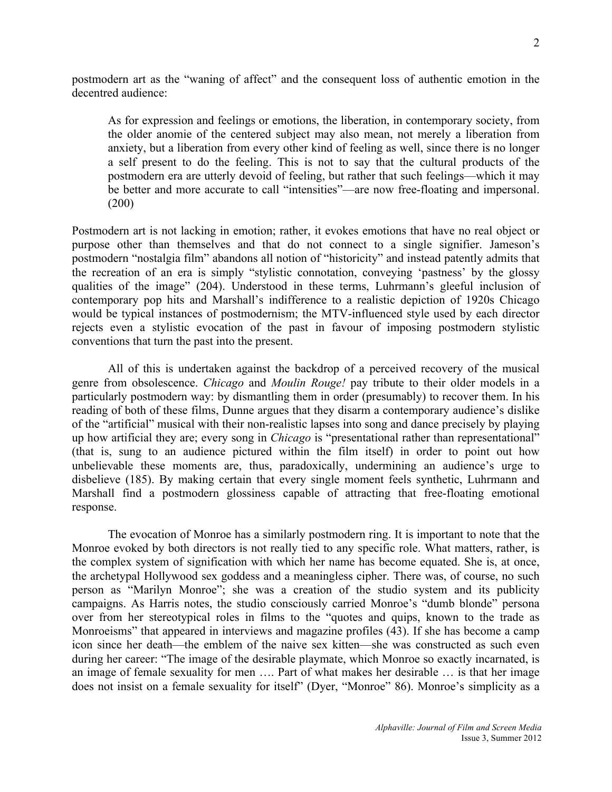postmodern art as the "waning of affect" and the consequent loss of authentic emotion in the decentred audience:

As for expression and feelings or emotions, the liberation, in contemporary society, from the older anomie of the centered subject may also mean, not merely a liberation from anxiety, but a liberation from every other kind of feeling as well, since there is no longer a self present to do the feeling. This is not to say that the cultural products of the postmodern era are utterly devoid of feeling, but rather that such feelings––which it may be better and more accurate to call "intensities"—are now free-floating and impersonal. (200)

Postmodern art is not lacking in emotion; rather, it evokes emotions that have no real object or purpose other than themselves and that do not connect to a single signifier. Jameson's postmodern "nostalgia film" abandons all notion of "historicity" and instead patently admits that the recreation of an era is simply "stylistic connotation, conveying 'pastness' by the glossy qualities of the image" (204). Understood in these terms, Luhrmann's gleeful inclusion of contemporary pop hits and Marshall's indifference to a realistic depiction of 1920s Chicago would be typical instances of postmodernism; the MTV-influenced style used by each director rejects even a stylistic evocation of the past in favour of imposing postmodern stylistic conventions that turn the past into the present.

All of this is undertaken against the backdrop of a perceived recovery of the musical genre from obsolescence. *Chicago* and *Moulin Rouge!* pay tribute to their older models in a particularly postmodern way: by dismantling them in order (presumably) to recover them. In his reading of both of these films, Dunne argues that they disarm a contemporary audience's dislike of the "artificial" musical with their non-realistic lapses into song and dance precisely by playing up how artificial they are; every song in *Chicago* is "presentational rather than representational" (that is, sung to an audience pictured within the film itself) in order to point out how unbelievable these moments are, thus, paradoxically, undermining an audience's urge to disbelieve (185). By making certain that every single moment feels synthetic, Luhrmann and Marshall find a postmodern glossiness capable of attracting that free-floating emotional response.

The evocation of Monroe has a similarly postmodern ring. It is important to note that the Monroe evoked by both directors is not really tied to any specific role. What matters, rather, is the complex system of signification with which her name has become equated. She is, at once, the archetypal Hollywood sex goddess and a meaningless cipher. There was, of course, no such person as "Marilyn Monroe"; she was a creation of the studio system and its publicity campaigns. As Harris notes, the studio consciously carried Monroe's "dumb blonde" persona over from her stereotypical roles in films to the "quotes and quips, known to the trade as Monroeisms" that appeared in interviews and magazine profiles (43). If she has become a camp icon since her death––the emblem of the naive sex kitten––she was constructed as such even during her career: "The image of the desirable playmate, which Monroe so exactly incarnated, is an image of female sexuality for men …. Part of what makes her desirable … is that her image does not insist on a female sexuality for itself" (Dyer, "Monroe" 86). Monroe's simplicity as a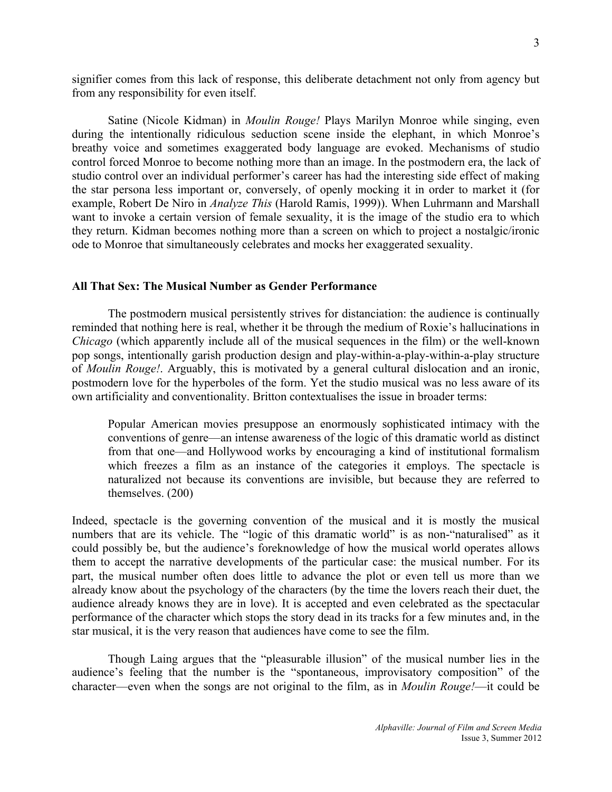signifier comes from this lack of response, this deliberate detachment not only from agency but from any responsibility for even itself.

Satine (Nicole Kidman) in *Moulin Rouge!* Plays Marilyn Monroe while singing, even during the intentionally ridiculous seduction scene inside the elephant, in which Monroe's breathy voice and sometimes exaggerated body language are evoked. Mechanisms of studio control forced Monroe to become nothing more than an image. In the postmodern era, the lack of studio control over an individual performer's career has had the interesting side effect of making the star persona less important or, conversely, of openly mocking it in order to market it (for example, Robert De Niro in *Analyze This* (Harold Ramis, 1999)). When Luhrmann and Marshall want to invoke a certain version of female sexuality, it is the image of the studio era to which they return. Kidman becomes nothing more than a screen on which to project a nostalgic/ironic ode to Monroe that simultaneously celebrates and mocks her exaggerated sexuality.

# **All That Sex: The Musical Number as Gender Performance**

The postmodern musical persistently strives for distanciation: the audience is continually reminded that nothing here is real, whether it be through the medium of Roxie's hallucinations in *Chicago* (which apparently include all of the musical sequences in the film) or the well-known pop songs, intentionally garish production design and play-within-a-play-within-a-play structure of *Moulin Rouge!*. Arguably, this is motivated by a general cultural dislocation and an ironic, postmodern love for the hyperboles of the form. Yet the studio musical was no less aware of its own artificiality and conventionality. Britton contextualises the issue in broader terms:

Popular American movies presuppose an enormously sophisticated intimacy with the conventions of genre––an intense awareness of the logic of this dramatic world as distinct from that one––and Hollywood works by encouraging a kind of institutional formalism which freezes a film as an instance of the categories it employs. The spectacle is naturalized not because its conventions are invisible, but because they are referred to themselves. (200)

Indeed, spectacle is the governing convention of the musical and it is mostly the musical numbers that are its vehicle. The "logic of this dramatic world" is as non-"naturalised" as it could possibly be, but the audience's foreknowledge of how the musical world operates allows them to accept the narrative developments of the particular case: the musical number. For its part, the musical number often does little to advance the plot or even tell us more than we already know about the psychology of the characters (by the time the lovers reach their duet, the audience already knows they are in love). It is accepted and even celebrated as the spectacular performance of the character which stops the story dead in its tracks for a few minutes and, in the star musical, it is the very reason that audiences have come to see the film.

Though Laing argues that the "pleasurable illusion" of the musical number lies in the audience's feeling that the number is the "spontaneous, improvisatory composition" of the character—even when the songs are not original to the film, as in *Moulin Rouge!*—it could be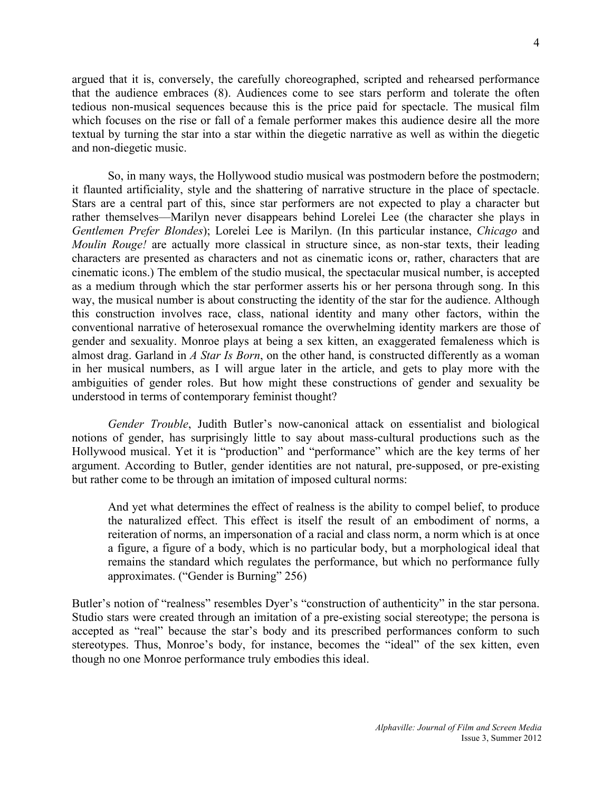argued that it is, conversely, the carefully choreographed, scripted and rehearsed performance that the audience embraces (8). Audiences come to see stars perform and tolerate the often tedious non-musical sequences because this is the price paid for spectacle. The musical film which focuses on the rise or fall of a female performer makes this audience desire all the more textual by turning the star into a star within the diegetic narrative as well as within the diegetic and non-diegetic music.

So, in many ways, the Hollywood studio musical was postmodern before the postmodern; it flaunted artificiality, style and the shattering of narrative structure in the place of spectacle. Stars are a central part of this, since star performers are not expected to play a character but rather themselves––Marilyn never disappears behind Lorelei Lee (the character she plays in *Gentlemen Prefer Blondes*); Lorelei Lee is Marilyn. (In this particular instance, *Chicago* and *Moulin Rouge!* are actually more classical in structure since, as non-star texts, their leading characters are presented as characters and not as cinematic icons or, rather, characters that are cinematic icons.) The emblem of the studio musical, the spectacular musical number, is accepted as a medium through which the star performer asserts his or her persona through song. In this way, the musical number is about constructing the identity of the star for the audience. Although this construction involves race, class, national identity and many other factors, within the conventional narrative of heterosexual romance the overwhelming identity markers are those of gender and sexuality. Monroe plays at being a sex kitten, an exaggerated femaleness which is almost drag. Garland in *A Star Is Born*, on the other hand, is constructed differently as a woman in her musical numbers, as I will argue later in the article, and gets to play more with the ambiguities of gender roles. But how might these constructions of gender and sexuality be understood in terms of contemporary feminist thought?

*Gender Trouble*, Judith Butler's now-canonical attack on essentialist and biological notions of gender, has surprisingly little to say about mass-cultural productions such as the Hollywood musical. Yet it is "production" and "performance" which are the key terms of her argument. According to Butler, gender identities are not natural, pre-supposed, or pre-existing but rather come to be through an imitation of imposed cultural norms:

And yet what determines the effect of realness is the ability to compel belief, to produce the naturalized effect. This effect is itself the result of an embodiment of norms, a reiteration of norms, an impersonation of a racial and class norm, a norm which is at once a figure, a figure of a body, which is no particular body, but a morphological ideal that remains the standard which regulates the performance, but which no performance fully approximates. ("Gender is Burning" 256)

Butler's notion of "realness" resembles Dyer's "construction of authenticity" in the star persona. Studio stars were created through an imitation of a pre-existing social stereotype; the persona is accepted as "real" because the star's body and its prescribed performances conform to such stereotypes. Thus, Monroe's body, for instance, becomes the "ideal" of the sex kitten, even though no one Monroe performance truly embodies this ideal.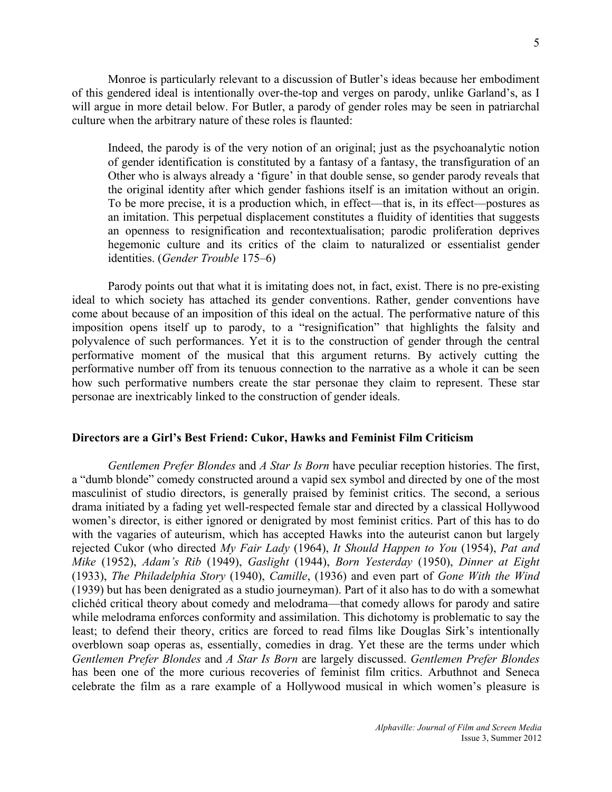Monroe is particularly relevant to a discussion of Butler's ideas because her embodiment of this gendered ideal is intentionally over-the-top and verges on parody, unlike Garland's, as I will argue in more detail below. For Butler, a parody of gender roles may be seen in patriarchal culture when the arbitrary nature of these roles is flaunted:

Indeed, the parody is of the very notion of an original; just as the psychoanalytic notion of gender identification is constituted by a fantasy of a fantasy, the transfiguration of an Other who is always already a 'figure' in that double sense, so gender parody reveals that the original identity after which gender fashions itself is an imitation without an origin. To be more precise, it is a production which, in effect—that is, in its effect—postures as an imitation. This perpetual displacement constitutes a fluidity of identities that suggests an openness to resignification and recontextualisation; parodic proliferation deprives hegemonic culture and its critics of the claim to naturalized or essentialist gender identities. (*Gender Trouble* 175–6)

Parody points out that what it is imitating does not, in fact, exist. There is no pre-existing ideal to which society has attached its gender conventions. Rather, gender conventions have come about because of an imposition of this ideal on the actual. The performative nature of this imposition opens itself up to parody, to a "resignification" that highlights the falsity and polyvalence of such performances. Yet it is to the construction of gender through the central performative moment of the musical that this argument returns. By actively cutting the performative number off from its tenuous connection to the narrative as a whole it can be seen how such performative numbers create the star personae they claim to represent. These star personae are inextricably linked to the construction of gender ideals.

### **Directors are a Girl's Best Friend: Cukor, Hawks and Feminist Film Criticism**

*Gentlemen Prefer Blondes* and *A Star Is Born* have peculiar reception histories. The first, a "dumb blonde" comedy constructed around a vapid sex symbol and directed by one of the most masculinist of studio directors, is generally praised by feminist critics. The second, a serious drama initiated by a fading yet well-respected female star and directed by a classical Hollywood women's director, is either ignored or denigrated by most feminist critics. Part of this has to do with the vagaries of auteurism, which has accepted Hawks into the auteurist canon but largely rejected Cukor (who directed *My Fair Lady* (1964), *It Should Happen to You* (1954), *Pat and Mike* (1952), *Adam's Rib* (1949), *Gaslight* (1944), *Born Yesterday* (1950), *Dinner at Eight* (1933), *The Philadelphia Story* (1940), *Camille*, (1936) and even part of *Gone With the Wind*  (1939) but has been denigrated as a studio journeyman). Part of it also has to do with a somewhat clichéd critical theory about comedy and melodrama—that comedy allows for parody and satire while melodrama enforces conformity and assimilation. This dichotomy is problematic to say the least; to defend their theory, critics are forced to read films like Douglas Sirk's intentionally overblown soap operas as, essentially, comedies in drag. Yet these are the terms under which *Gentlemen Prefer Blondes* and *A Star Is Born* are largely discussed. *Gentlemen Prefer Blondes*  has been one of the more curious recoveries of feminist film critics. Arbuthnot and Seneca celebrate the film as a rare example of a Hollywood musical in which women's pleasure is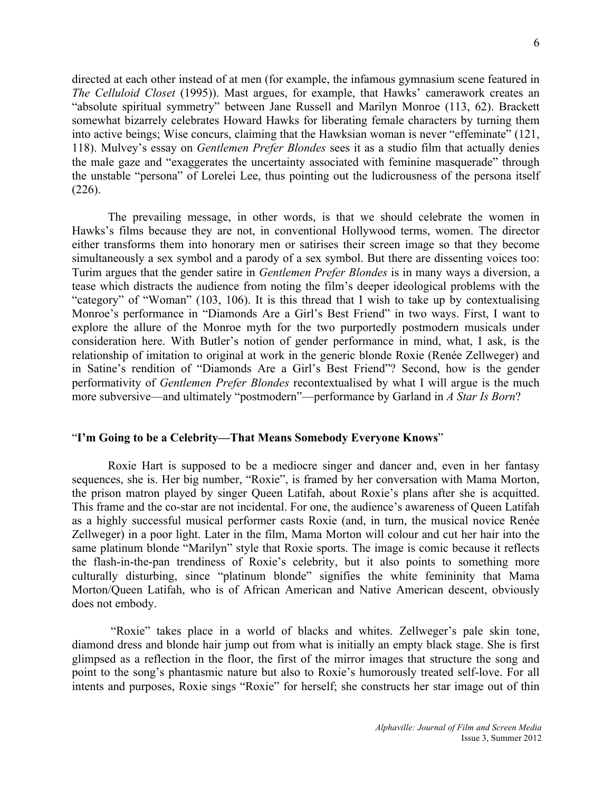directed at each other instead of at men (for example, the infamous gymnasium scene featured in *The Celluloid Closet* (1995)). Mast argues, for example, that Hawks' camerawork creates an "absolute spiritual symmetry" between Jane Russell and Marilyn Monroe (113, 62). Brackett somewhat bizarrely celebrates Howard Hawks for liberating female characters by turning them into active beings; Wise concurs, claiming that the Hawksian woman is never "effeminate" (121, 118). Mulvey's essay on *Gentlemen Prefer Blondes* sees it as a studio film that actually denies the male gaze and "exaggerates the uncertainty associated with feminine masquerade" through the unstable "persona" of Lorelei Lee, thus pointing out the ludicrousness of the persona itself (226).

The prevailing message, in other words, is that we should celebrate the women in Hawks's films because they are not, in conventional Hollywood terms, women. The director either transforms them into honorary men or satirises their screen image so that they become simultaneously a sex symbol and a parody of a sex symbol. But there are dissenting voices too: Turim argues that the gender satire in *Gentlemen Prefer Blondes* is in many ways a diversion, a tease which distracts the audience from noting the film's deeper ideological problems with the "category" of "Woman" (103, 106). It is this thread that I wish to take up by contextualising Monroe's performance in "Diamonds Are a Girl's Best Friend" in two ways. First, I want to explore the allure of the Monroe myth for the two purportedly postmodern musicals under consideration here. With Butler's notion of gender performance in mind, what, I ask, is the relationship of imitation to original at work in the generic blonde Roxie (Renée Zellweger) and in Satine's rendition of "Diamonds Are a Girl's Best Friend"? Second, how is the gender performativity of *Gentlemen Prefer Blondes* recontextualised by what I will argue is the much more subversive—and ultimately "postmodern"—performance by Garland in *A Star Is Born*?

### "**I'm Going to be a Celebrity––That Means Somebody Everyone Knows**"

Roxie Hart is supposed to be a mediocre singer and dancer and, even in her fantasy sequences, she is. Her big number, "Roxie", is framed by her conversation with Mama Morton, the prison matron played by singer Queen Latifah, about Roxie's plans after she is acquitted. This frame and the co-star are not incidental. For one, the audience's awareness of Queen Latifah as a highly successful musical performer casts Roxie (and, in turn, the musical novice Renée Zellweger) in a poor light. Later in the film, Mama Morton will colour and cut her hair into the same platinum blonde "Marilyn" style that Roxie sports. The image is comic because it reflects the flash-in-the-pan trendiness of Roxie's celebrity, but it also points to something more culturally disturbing, since "platinum blonde" signifies the white femininity that Mama Morton/Queen Latifah, who is of African American and Native American descent, obviously does not embody.

"Roxie" takes place in a world of blacks and whites. Zellweger's pale skin tone, diamond dress and blonde hair jump out from what is initially an empty black stage. She is first glimpsed as a reflection in the floor, the first of the mirror images that structure the song and point to the song's phantasmic nature but also to Roxie's humorously treated self-love. For all intents and purposes, Roxie sings "Roxie" for herself; she constructs her star image out of thin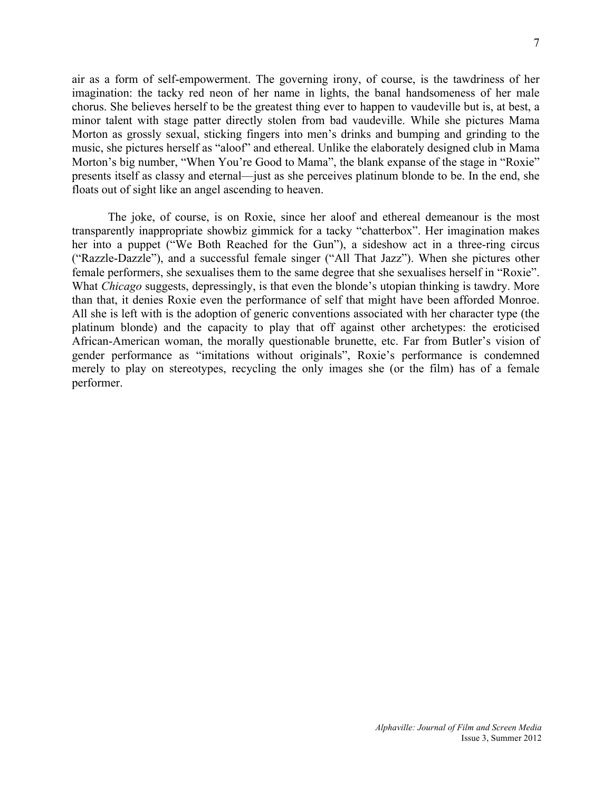air as a form of self-empowerment. The governing irony, of course, is the tawdriness of her imagination: the tacky red neon of her name in lights, the banal handsomeness of her male chorus. She believes herself to be the greatest thing ever to happen to vaudeville but is, at best, a minor talent with stage patter directly stolen from bad vaudeville. While she pictures Mama Morton as grossly sexual, sticking fingers into men's drinks and bumping and grinding to the music, she pictures herself as "aloof" and ethereal. Unlike the elaborately designed club in Mama Morton's big number, "When You're Good to Mama", the blank expanse of the stage in "Roxie" presents itself as classy and eternal––just as she perceives platinum blonde to be. In the end, she floats out of sight like an angel ascending to heaven.

The joke, of course, is on Roxie, since her aloof and ethereal demeanour is the most transparently inappropriate showbiz gimmick for a tacky "chatterbox". Her imagination makes her into a puppet ("We Both Reached for the Gun"), a sideshow act in a three-ring circus ("Razzle-Dazzle"), and a successful female singer ("All That Jazz"). When she pictures other female performers, she sexualises them to the same degree that she sexualises herself in "Roxie". What *Chicago* suggests, depressingly, is that even the blonde's utopian thinking is tawdry. More than that, it denies Roxie even the performance of self that might have been afforded Monroe. All she is left with is the adoption of generic conventions associated with her character type (the platinum blonde) and the capacity to play that off against other archetypes: the eroticised African-American woman, the morally questionable brunette, etc. Far from Butler's vision of gender performance as "imitations without originals", Roxie's performance is condemned merely to play on stereotypes, recycling the only images she (or the film) has of a female performer.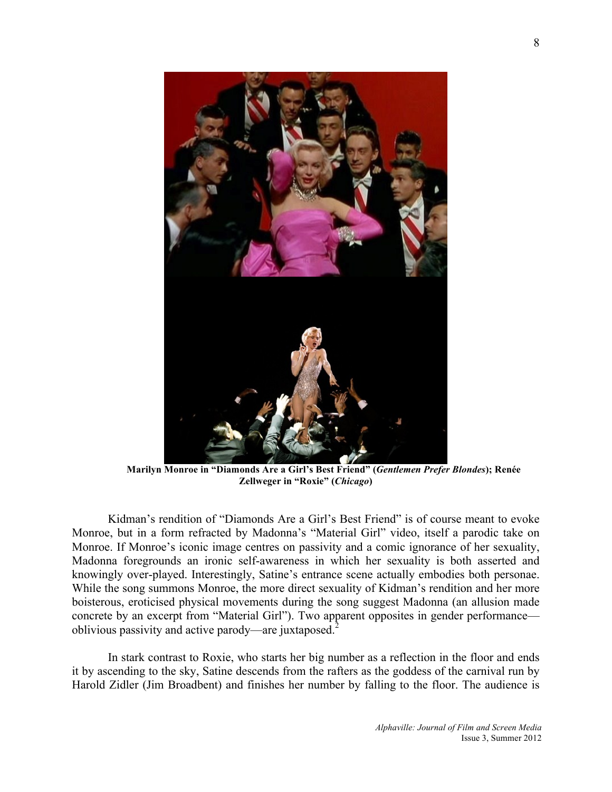

**Marilyn Monroe in "Diamonds Are a Girl's Best Friend" (***Gentlemen Prefer Blondes***); Renée Zellweger in "Roxie" (***Chicago***)**

Kidman's rendition of "Diamonds Are a Girl's Best Friend" is of course meant to evoke Monroe, but in a form refracted by Madonna's "Material Girl" video, itself a parodic take on Monroe. If Monroe's iconic image centres on passivity and a comic ignorance of her sexuality, Madonna foregrounds an ironic self-awareness in which her sexuality is both asserted and knowingly over-played. Interestingly, Satine's entrance scene actually embodies both personae. While the song summons Monroe, the more direct sexuality of Kidman's rendition and her more boisterous, eroticised physical movements during the song suggest Madonna (an allusion made concrete by an excerpt from "Material Girl"). Two apparent opposites in gender performance oblivious passivity and active parody—are juxtaposed.<sup>2</sup>

In stark contrast to Roxie, who starts her big number as a reflection in the floor and ends it by ascending to the sky, Satine descends from the rafters as the goddess of the carnival run by Harold Zidler (Jim Broadbent) and finishes her number by falling to the floor. The audience is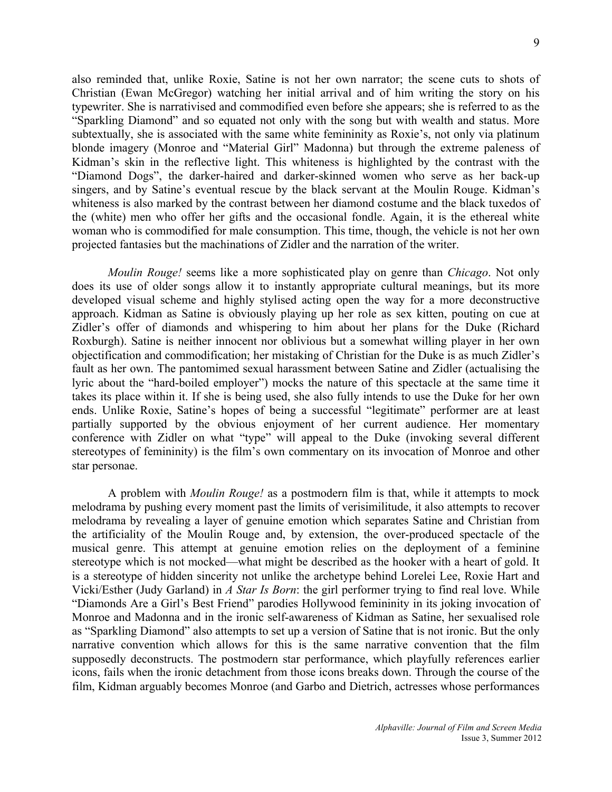also reminded that, unlike Roxie, Satine is not her own narrator; the scene cuts to shots of Christian (Ewan McGregor) watching her initial arrival and of him writing the story on his typewriter. She is narrativised and commodified even before she appears; she is referred to as the "Sparkling Diamond" and so equated not only with the song but with wealth and status. More subtextually, she is associated with the same white femininity as Roxie's, not only via platinum blonde imagery (Monroe and "Material Girl" Madonna) but through the extreme paleness of Kidman's skin in the reflective light. This whiteness is highlighted by the contrast with the "Diamond Dogs", the darker-haired and darker-skinned women who serve as her back-up singers, and by Satine's eventual rescue by the black servant at the Moulin Rouge. Kidman's whiteness is also marked by the contrast between her diamond costume and the black tuxedos of the (white) men who offer her gifts and the occasional fondle. Again, it is the ethereal white woman who is commodified for male consumption. This time, though, the vehicle is not her own projected fantasies but the machinations of Zidler and the narration of the writer.

*Moulin Rouge!* seems like a more sophisticated play on genre than *Chicago*. Not only does its use of older songs allow it to instantly appropriate cultural meanings, but its more developed visual scheme and highly stylised acting open the way for a more deconstructive approach. Kidman as Satine is obviously playing up her role as sex kitten, pouting on cue at Zidler's offer of diamonds and whispering to him about her plans for the Duke (Richard Roxburgh). Satine is neither innocent nor oblivious but a somewhat willing player in her own objectification and commodification; her mistaking of Christian for the Duke is as much Zidler's fault as her own. The pantomimed sexual harassment between Satine and Zidler (actualising the lyric about the "hard-boiled employer") mocks the nature of this spectacle at the same time it takes its place within it. If she is being used, she also fully intends to use the Duke for her own ends. Unlike Roxie, Satine's hopes of being a successful "legitimate" performer are at least partially supported by the obvious enjoyment of her current audience. Her momentary conference with Zidler on what "type" will appeal to the Duke (invoking several different stereotypes of femininity) is the film's own commentary on its invocation of Monroe and other star personae.

A problem with *Moulin Rouge!* as a postmodern film is that, while it attempts to mock melodrama by pushing every moment past the limits of verisimilitude, it also attempts to recover melodrama by revealing a layer of genuine emotion which separates Satine and Christian from the artificiality of the Moulin Rouge and, by extension, the over-produced spectacle of the musical genre. This attempt at genuine emotion relies on the deployment of a feminine stereotype which is not mocked––what might be described as the hooker with a heart of gold. It is a stereotype of hidden sincerity not unlike the archetype behind Lorelei Lee, Roxie Hart and Vicki/Esther (Judy Garland) in *A Star Is Born*: the girl performer trying to find real love. While "Diamonds Are a Girl's Best Friend" parodies Hollywood femininity in its joking invocation of Monroe and Madonna and in the ironic self-awareness of Kidman as Satine, her sexualised role as "Sparkling Diamond" also attempts to set up a version of Satine that is not ironic. But the only narrative convention which allows for this is the same narrative convention that the film supposedly deconstructs. The postmodern star performance, which playfully references earlier icons, fails when the ironic detachment from those icons breaks down. Through the course of the film, Kidman arguably becomes Monroe (and Garbo and Dietrich, actresses whose performances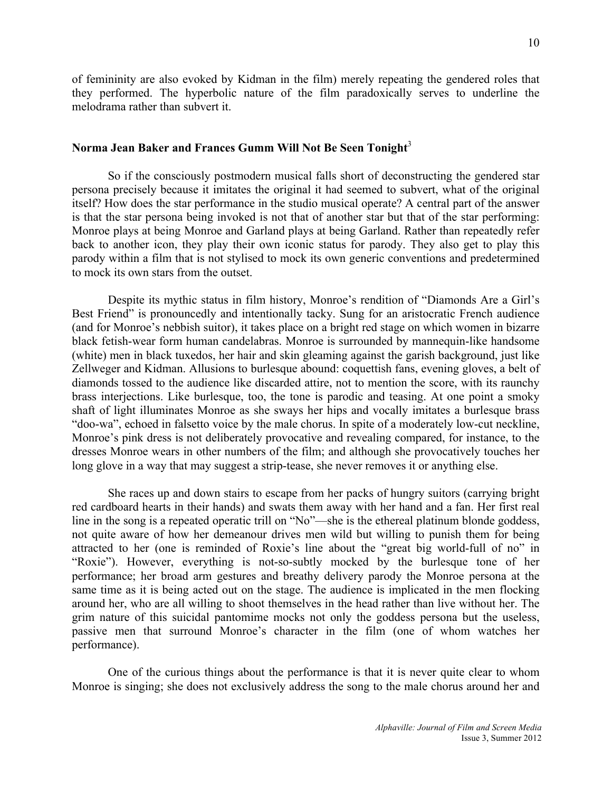of femininity are also evoked by Kidman in the film) merely repeating the gendered roles that they performed. The hyperbolic nature of the film paradoxically serves to underline the melodrama rather than subvert it.

# **Norma Jean Baker and Frances Gumm Will Not Be Seen Tonight**<sup>3</sup>

So if the consciously postmodern musical falls short of deconstructing the gendered star persona precisely because it imitates the original it had seemed to subvert, what of the original itself? How does the star performance in the studio musical operate? A central part of the answer is that the star persona being invoked is not that of another star but that of the star performing: Monroe plays at being Monroe and Garland plays at being Garland. Rather than repeatedly refer back to another icon, they play their own iconic status for parody. They also get to play this parody within a film that is not stylised to mock its own generic conventions and predetermined to mock its own stars from the outset.

Despite its mythic status in film history, Monroe's rendition of "Diamonds Are a Girl's Best Friend" is pronouncedly and intentionally tacky. Sung for an aristocratic French audience (and for Monroe's nebbish suitor), it takes place on a bright red stage on which women in bizarre black fetish-wear form human candelabras. Monroe is surrounded by mannequin-like handsome (white) men in black tuxedos, her hair and skin gleaming against the garish background, just like Zellweger and Kidman. Allusions to burlesque abound: coquettish fans, evening gloves, a belt of diamonds tossed to the audience like discarded attire, not to mention the score, with its raunchy brass interjections. Like burlesque, too, the tone is parodic and teasing. At one point a smoky shaft of light illuminates Monroe as she sways her hips and vocally imitates a burlesque brass "doo-wa", echoed in falsetto voice by the male chorus. In spite of a moderately low-cut neckline, Monroe's pink dress is not deliberately provocative and revealing compared, for instance, to the dresses Monroe wears in other numbers of the film; and although she provocatively touches her long glove in a way that may suggest a strip-tease, she never removes it or anything else.

She races up and down stairs to escape from her packs of hungry suitors (carrying bright red cardboard hearts in their hands) and swats them away with her hand and a fan. Her first real line in the song is a repeated operatic trill on "No"––she is the ethereal platinum blonde goddess, not quite aware of how her demeanour drives men wild but willing to punish them for being attracted to her (one is reminded of Roxie's line about the "great big world-full of no" in "Roxie"). However, everything is not-so-subtly mocked by the burlesque tone of her performance; her broad arm gestures and breathy delivery parody the Monroe persona at the same time as it is being acted out on the stage. The audience is implicated in the men flocking around her, who are all willing to shoot themselves in the head rather than live without her. The grim nature of this suicidal pantomime mocks not only the goddess persona but the useless, passive men that surround Monroe's character in the film (one of whom watches her performance).

One of the curious things about the performance is that it is never quite clear to whom Monroe is singing; she does not exclusively address the song to the male chorus around her and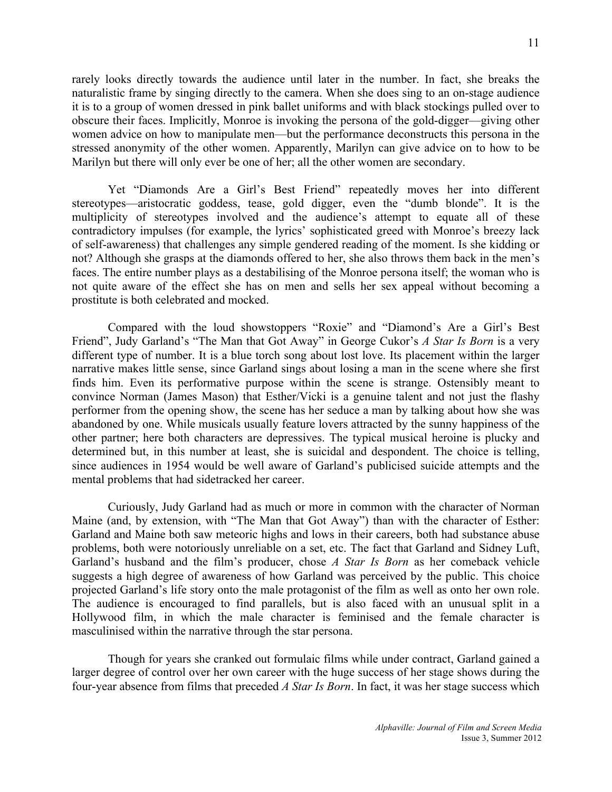rarely looks directly towards the audience until later in the number. In fact, she breaks the naturalistic frame by singing directly to the camera. When she does sing to an on-stage audience it is to a group of women dressed in pink ballet uniforms and with black stockings pulled over to obscure their faces. Implicitly, Monroe is invoking the persona of the gold-digger––giving other women advice on how to manipulate men––but the performance deconstructs this persona in the stressed anonymity of the other women. Apparently, Marilyn can give advice on to how to be Marilyn but there will only ever be one of her; all the other women are secondary.

Yet "Diamonds Are a Girl's Best Friend" repeatedly moves her into different stereotypes––aristocratic goddess, tease, gold digger, even the "dumb blonde". It is the multiplicity of stereotypes involved and the audience's attempt to equate all of these contradictory impulses (for example, the lyrics' sophisticated greed with Monroe's breezy lack of self-awareness) that challenges any simple gendered reading of the moment. Is she kidding or not? Although she grasps at the diamonds offered to her, she also throws them back in the men's faces. The entire number plays as a destabilising of the Monroe persona itself; the woman who is not quite aware of the effect she has on men and sells her sex appeal without becoming a prostitute is both celebrated and mocked.

Compared with the loud showstoppers "Roxie" and "Diamond's Are a Girl's Best Friend", Judy Garland's "The Man that Got Away" in George Cukor's *A Star Is Born* is a very different type of number. It is a blue torch song about lost love. Its placement within the larger narrative makes little sense, since Garland sings about losing a man in the scene where she first finds him. Even its performative purpose within the scene is strange. Ostensibly meant to convince Norman (James Mason) that Esther/Vicki is a genuine talent and not just the flashy performer from the opening show, the scene has her seduce a man by talking about how she was abandoned by one. While musicals usually feature lovers attracted by the sunny happiness of the other partner; here both characters are depressives. The typical musical heroine is plucky and determined but, in this number at least, she is suicidal and despondent. The choice is telling, since audiences in 1954 would be well aware of Garland's publicised suicide attempts and the mental problems that had sidetracked her career.

Curiously, Judy Garland had as much or more in common with the character of Norman Maine (and, by extension, with "The Man that Got Away") than with the character of Esther: Garland and Maine both saw meteoric highs and lows in their careers, both had substance abuse problems, both were notoriously unreliable on a set, etc. The fact that Garland and Sidney Luft, Garland's husband and the film's producer, chose *A Star Is Born* as her comeback vehicle suggests a high degree of awareness of how Garland was perceived by the public. This choice projected Garland's life story onto the male protagonist of the film as well as onto her own role. The audience is encouraged to find parallels, but is also faced with an unusual split in a Hollywood film, in which the male character is feminised and the female character is masculinised within the narrative through the star persona.

Though for years she cranked out formulaic films while under contract, Garland gained a larger degree of control over her own career with the huge success of her stage shows during the four-year absence from films that preceded *A Star Is Born*. In fact, it was her stage success which

11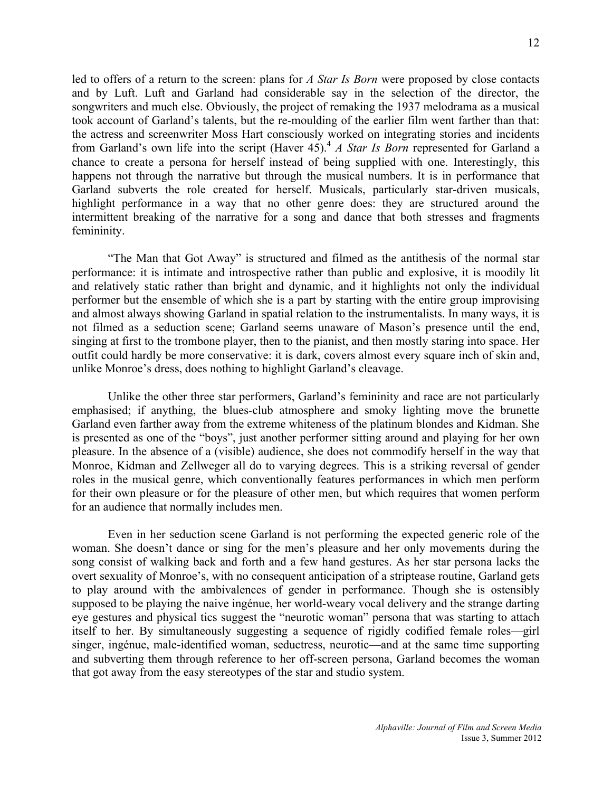led to offers of a return to the screen: plans for *A Star Is Born* were proposed by close contacts and by Luft. Luft and Garland had considerable say in the selection of the director, the songwriters and much else. Obviously, the project of remaking the 1937 melodrama as a musical took account of Garland's talents, but the re-moulding of the earlier film went farther than that: the actress and screenwriter Moss Hart consciously worked on integrating stories and incidents from Garland's own life into the script (Haver 45).4 *A Star Is Born* represented for Garland a chance to create a persona for herself instead of being supplied with one. Interestingly, this happens not through the narrative but through the musical numbers. It is in performance that Garland subverts the role created for herself. Musicals, particularly star-driven musicals, highlight performance in a way that no other genre does: they are structured around the intermittent breaking of the narrative for a song and dance that both stresses and fragments femininity.

"The Man that Got Away" is structured and filmed as the antithesis of the normal star performance: it is intimate and introspective rather than public and explosive, it is moodily lit and relatively static rather than bright and dynamic, and it highlights not only the individual performer but the ensemble of which she is a part by starting with the entire group improvising and almost always showing Garland in spatial relation to the instrumentalists. In many ways, it is not filmed as a seduction scene; Garland seems unaware of Mason's presence until the end, singing at first to the trombone player, then to the pianist, and then mostly staring into space. Her outfit could hardly be more conservative: it is dark, covers almost every square inch of skin and, unlike Monroe's dress, does nothing to highlight Garland's cleavage.

Unlike the other three star performers, Garland's femininity and race are not particularly emphasised; if anything, the blues-club atmosphere and smoky lighting move the brunette Garland even farther away from the extreme whiteness of the platinum blondes and Kidman. She is presented as one of the "boys", just another performer sitting around and playing for her own pleasure. In the absence of a (visible) audience, she does not commodify herself in the way that Monroe, Kidman and Zellweger all do to varying degrees. This is a striking reversal of gender roles in the musical genre, which conventionally features performances in which men perform for their own pleasure or for the pleasure of other men, but which requires that women perform for an audience that normally includes men.

Even in her seduction scene Garland is not performing the expected generic role of the woman. She doesn't dance or sing for the men's pleasure and her only movements during the song consist of walking back and forth and a few hand gestures. As her star persona lacks the overt sexuality of Monroe's, with no consequent anticipation of a striptease routine, Garland gets to play around with the ambivalences of gender in performance. Though she is ostensibly supposed to be playing the naive ingénue, her world-weary vocal delivery and the strange darting eye gestures and physical tics suggest the "neurotic woman" persona that was starting to attach itself to her. By simultaneously suggesting a sequence of rigidly codified female roles––girl singer, ingénue, male-identified woman, seductress, neurotic––and at the same time supporting and subverting them through reference to her off-screen persona, Garland becomes the woman that got away from the easy stereotypes of the star and studio system.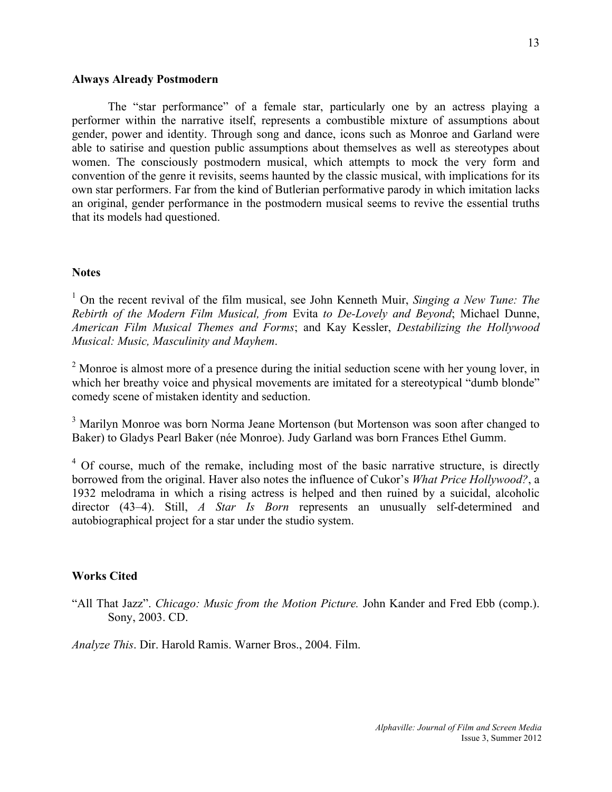# **Always Already Postmodern**

The "star performance" of a female star, particularly one by an actress playing a performer within the narrative itself, represents a combustible mixture of assumptions about gender, power and identity. Through song and dance, icons such as Monroe and Garland were able to satirise and question public assumptions about themselves as well as stereotypes about women. The consciously postmodern musical, which attempts to mock the very form and convention of the genre it revisits, seems haunted by the classic musical, with implications for its own star performers. Far from the kind of Butlerian performative parody in which imitation lacks an original, gender performance in the postmodern musical seems to revive the essential truths that its models had questioned.

#### **Notes**

<sup>1</sup> On the recent revival of the film musical, see John Kenneth Muir, *Singing a New Tune: The Rebirth of the Modern Film Musical, from* Evita *to De-Lovely and Beyond*; Michael Dunne, *American Film Musical Themes and Forms*; and Kay Kessler, *Destabilizing the Hollywood Musical: Music, Masculinity and Mayhem*.

 $2 \text{ Monroe}$  is almost more of a presence during the initial seduction scene with her young lover, in which her breathy voice and physical movements are imitated for a stereotypical "dumb blonde" comedy scene of mistaken identity and seduction.

<sup>3</sup> Marilyn Monroe was born Norma Jeane Mortenson (but Mortenson was soon after changed to Baker) to Gladys Pearl Baker (née Monroe). Judy Garland was born Frances Ethel Gumm.

 $4\,$  Of course, much of the remake, including most of the basic narrative structure, is directly borrowed from the original. Haver also notes the influence of Cukor's *What Price Hollywood?*, a 1932 melodrama in which a rising actress is helped and then ruined by a suicidal, alcoholic director (43–4). Still, *A Star Is Born* represents an unusually self-determined and autobiographical project for a star under the studio system.

# **Works Cited**

"All That Jazz". *Chicago: Music from the Motion Picture.* John Kander and Fred Ebb (comp.). Sony, 2003. CD.

*Analyze This*. Dir. Harold Ramis. Warner Bros., 2004. Film.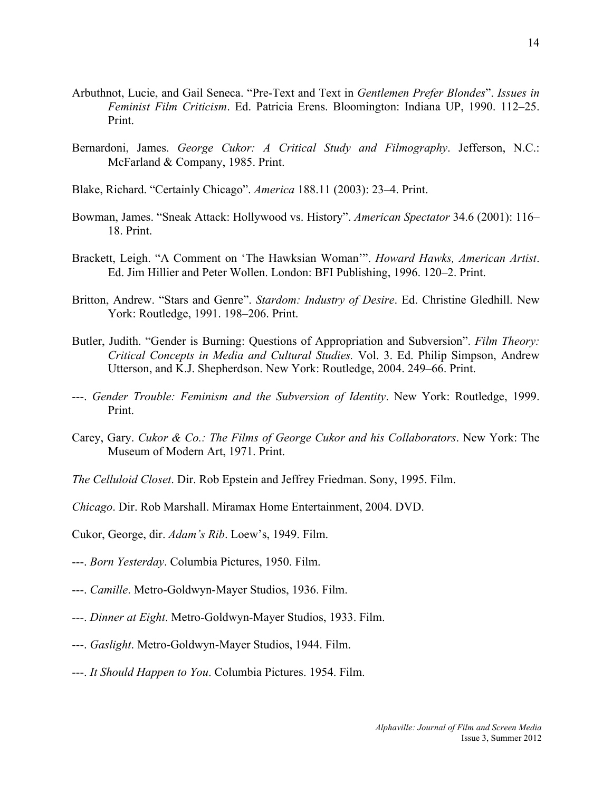- Arbuthnot, Lucie, and Gail Seneca. "Pre-Text and Text in *Gentlemen Prefer Blondes*". *Issues in Feminist Film Criticism*. Ed. Patricia Erens. Bloomington: Indiana UP, 1990. 112–25. Print.
- Bernardoni, James. *George Cukor: A Critical Study and Filmography*. Jefferson, N.C.: McFarland & Company, 1985. Print.
- Blake, Richard. "Certainly Chicago". *America* 188.11 (2003): 23–4. Print.
- Bowman, James. "Sneak Attack: Hollywood vs. History". *American Spectator* 34.6 (2001): 116– 18. Print.
- Brackett, Leigh. "A Comment on 'The Hawksian Woman'". *Howard Hawks, American Artist*. Ed. Jim Hillier and Peter Wollen. London: BFI Publishing, 1996. 120–2. Print.
- Britton, Andrew. "Stars and Genre". *Stardom: Industry of Desire*. Ed. Christine Gledhill. New York: Routledge, 1991. 198–206. Print.
- Butler, Judith. "Gender is Burning: Questions of Appropriation and Subversion". *Film Theory: Critical Concepts in Media and Cultural Studies.* Vol. 3. Ed. Philip Simpson, Andrew Utterson, and K.J. Shepherdson. New York: Routledge, 2004. 249–66. Print.
- ---. *Gender Trouble: Feminism and the Subversion of Identity*. New York: Routledge, 1999. Print.
- Carey, Gary. *Cukor & Co.: The Films of George Cukor and his Collaborators*. New York: The Museum of Modern Art, 1971. Print.
- *The Celluloid Closet*. Dir. Rob Epstein and Jeffrey Friedman. Sony, 1995. Film.

*Chicago*. Dir. Rob Marshall. Miramax Home Entertainment, 2004. DVD.

Cukor, George, dir. *Adam's Rib*. Loew's, 1949. Film.

- ---. *Born Yesterday*. Columbia Pictures, 1950. Film.
- ---. *Camille*. Metro-Goldwyn-Mayer Studios, 1936. Film.
- ---. *Dinner at Eight*. Metro-Goldwyn-Mayer Studios, 1933. Film.
- ---. *Gaslight*. Metro-Goldwyn-Mayer Studios, 1944. Film.
- ---. *It Should Happen to You*. Columbia Pictures. 1954. Film.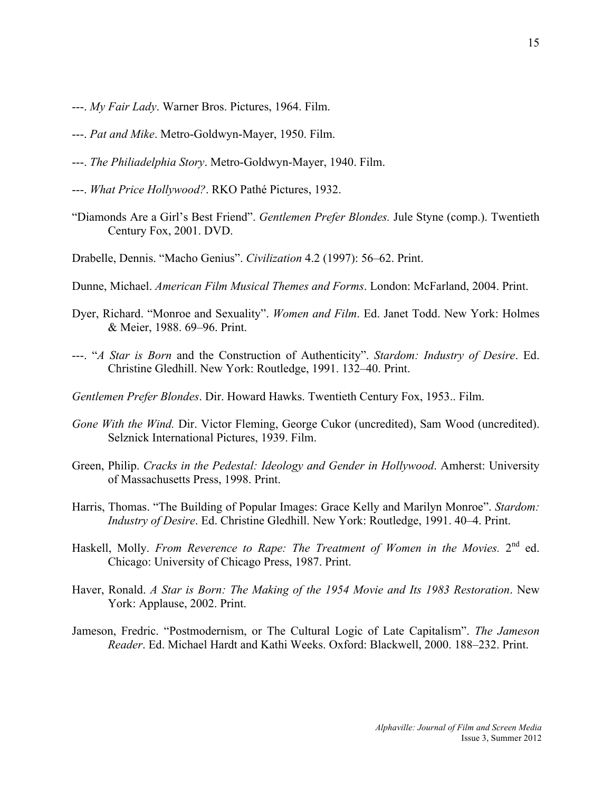- ---. *My Fair Lady*. Warner Bros. Pictures, 1964. Film.
- ---. *Pat and Mike*. Metro-Goldwyn-Mayer, 1950. Film.
- ---. *The Philiadelphia Story*. Metro-Goldwyn-Mayer, 1940. Film.
- ---. *What Price Hollywood?*. RKO Pathé Pictures, 1932.
- "Diamonds Are a Girl's Best Friend". *Gentlemen Prefer Blondes.* Jule Styne (comp.). Twentieth Century Fox, 2001. DVD.
- Drabelle, Dennis. "Macho Genius". *Civilization* 4.2 (1997): 56–62. Print.
- Dunne, Michael. *American Film Musical Themes and Forms*. London: McFarland, 2004. Print.
- Dyer, Richard. "Monroe and Sexuality". *Women and Film*. Ed. Janet Todd. New York: Holmes & Meier, 1988. 69–96. Print.
- ---. "*A Star is Born* and the Construction of Authenticity". *Stardom: Industry of Desire*. Ed. Christine Gledhill. New York: Routledge, 1991. 132–40. Print.
- *Gentlemen Prefer Blondes*. Dir. Howard Hawks. Twentieth Century Fox, 1953.. Film.
- *Gone With the Wind.* Dir. Victor Fleming, George Cukor (uncredited), Sam Wood (uncredited). Selznick International Pictures, 1939. Film.
- Green, Philip. *Cracks in the Pedestal: Ideology and Gender in Hollywood*. Amherst: University of Massachusetts Press, 1998. Print.
- Harris, Thomas. "The Building of Popular Images: Grace Kelly and Marilyn Monroe". *Stardom: Industry of Desire*. Ed. Christine Gledhill. New York: Routledge, 1991. 40–4. Print.
- Haskell, Molly. *From Reverence to Rape: The Treatment of Women in the Movies*. 2<sup>nd</sup> ed. Chicago: University of Chicago Press, 1987. Print.
- Haver, Ronald. *A Star is Born: The Making of the 1954 Movie and Its 1983 Restoration*. New York: Applause, 2002. Print.
- Jameson, Fredric. "Postmodernism, or The Cultural Logic of Late Capitalism". *The Jameson Reader*. Ed. Michael Hardt and Kathi Weeks. Oxford: Blackwell, 2000. 188–232. Print.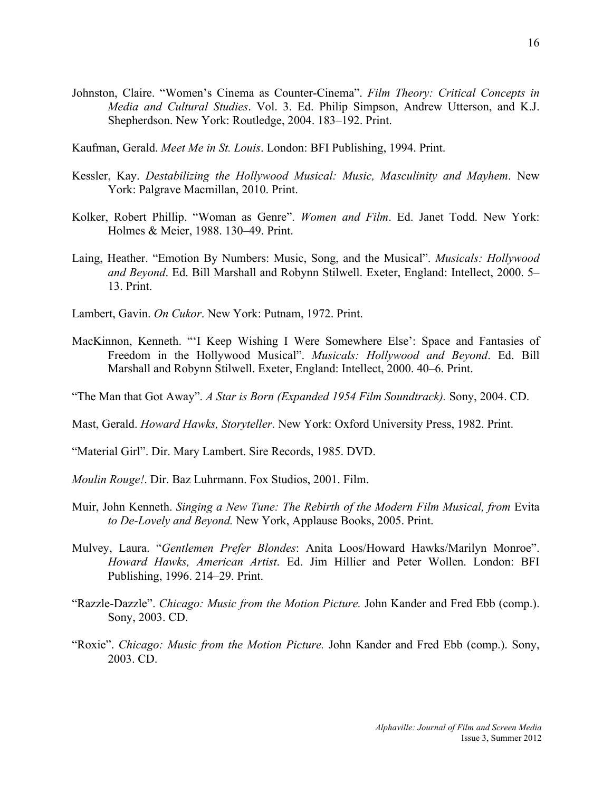- Johnston, Claire. "Women's Cinema as Counter-Cinema". *Film Theory: Critical Concepts in Media and Cultural Studies*. Vol. 3. Ed. Philip Simpson, Andrew Utterson, and K.J. Shepherdson. New York: Routledge, 2004. 183–192. Print.
- Kaufman, Gerald. *Meet Me in St. Louis*. London: BFI Publishing, 1994. Print.
- Kessler, Kay. *Destabilizing the Hollywood Musical: Music, Masculinity and Mayhem*. New York: Palgrave Macmillan, 2010. Print.
- Kolker, Robert Phillip. "Woman as Genre". *Women and Film*. Ed. Janet Todd. New York: Holmes & Meier, 1988. 130–49. Print.
- Laing, Heather. "Emotion By Numbers: Music, Song, and the Musical". *Musicals: Hollywood and Beyond*. Ed. Bill Marshall and Robynn Stilwell. Exeter, England: Intellect, 2000. 5– 13. Print.
- Lambert, Gavin. *On Cukor*. New York: Putnam, 1972. Print.
- MacKinnon, Kenneth. "'I Keep Wishing I Were Somewhere Else': Space and Fantasies of Freedom in the Hollywood Musical". *Musicals: Hollywood and Beyond*. Ed. Bill Marshall and Robynn Stilwell. Exeter, England: Intellect, 2000. 40–6. Print.

"The Man that Got Away". *A Star is Born (Expanded 1954 Film Soundtrack).* Sony, 2004. CD.

Mast, Gerald. *Howard Hawks, Storyteller*. New York: Oxford University Press, 1982. Print.

"Material Girl". Dir. Mary Lambert. Sire Records, 1985. DVD.

*Moulin Rouge!*. Dir. Baz Luhrmann. Fox Studios, 2001. Film.

- Muir, John Kenneth. *Singing a New Tune: The Rebirth of the Modern Film Musical, from* Evita *to De-Lovely and Beyond.* New York, Applause Books, 2005. Print.
- Mulvey, Laura. "*Gentlemen Prefer Blondes*: Anita Loos/Howard Hawks/Marilyn Monroe". *Howard Hawks, American Artist*. Ed. Jim Hillier and Peter Wollen. London: BFI Publishing, 1996. 214–29. Print.
- "Razzle-Dazzle". *Chicago: Music from the Motion Picture.* John Kander and Fred Ebb (comp.). Sony, 2003. CD.
- "Roxie". *Chicago: Music from the Motion Picture.* John Kander and Fred Ebb (comp.). Sony, 2003. CD.